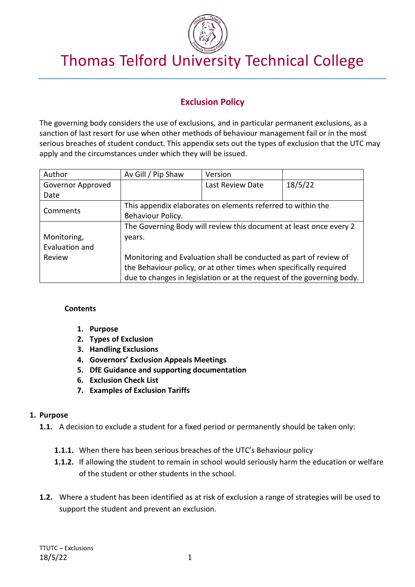

# Thomas Telford University Technical College

# **Exclusion Policy**

The governing body considers the use of exclusions, and in particular permanent exclusions, as a sanction of last resort for use when other methods of behaviour management fail or in the most serious breaches of student conduct. This appendix sets out the types of exclusion that the UTC may apply and the circumstances under which they will be issued.

| Author            | Av Gill / Pip Shaw                                                     | Version          |         |  |  |
|-------------------|------------------------------------------------------------------------|------------------|---------|--|--|
| Governor Approved |                                                                        | Last Review Date | 18/5/22 |  |  |
| Date              |                                                                        |                  |         |  |  |
| Comments          | This appendix elaborates on elements referred to within the            |                  |         |  |  |
|                   | Behaviour Policy.                                                      |                  |         |  |  |
|                   | The Governing Body will review this document at least once every 2     |                  |         |  |  |
| Monitoring,       | vears.                                                                 |                  |         |  |  |
| Evaluation and    |                                                                        |                  |         |  |  |
| Review            | Monitoring and Evaluation shall be conducted as part of review of      |                  |         |  |  |
|                   | the Behaviour policy, or at other times when specifically required     |                  |         |  |  |
|                   | due to changes in legislation or at the request of the governing body. |                  |         |  |  |

#### **Contents**

- **1. Purpose**
- **2. Types of Exclusion**
- **3. Handling Exclusions**
- **4. Governors' Exclusion Appeals Meetings**
- **5. DfE Guidance and supporting documentation**
- **6. Exclusion Check List**
- **7. Examples of Exclusion Tariffs**

#### **1. Purpose**

- **1.1.** A decision to exclude a student for a fixed period or permanently should be taken only:
	- **1.1.1.** When there has been serious breaches of the UTC's Behaviour policy
	- **1.1.2.** If allowing the student to remain in school would seriously harm the education or welfare of the student or other students in the school.
- **1.2.** Where a student has been identified as at risk of exclusion a range of strategies will be used to support the student and prevent an exclusion.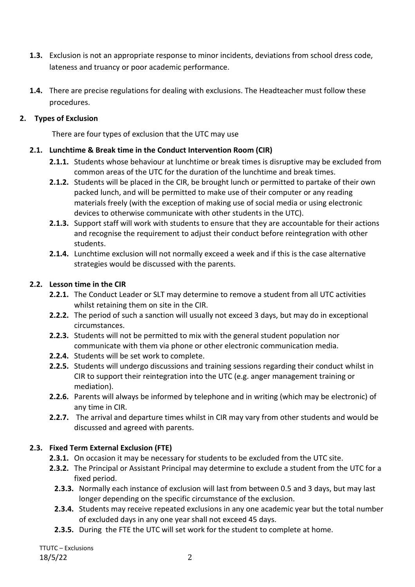- **1.3.** Exclusion is not an appropriate response to minor incidents, deviations from school dress code, lateness and truancy or poor academic performance.
- **1.4.** There are precise regulations for dealing with exclusions. The Headteacher must follow these procedures.

## **2. Types of Exclusion**

There are four types of exclusion that the UTC may use

## **2.1. Lunchtime & Break time in the Conduct Intervention Room (CIR)**

- **2.1.1.** Students whose behaviour at lunchtime or break times is disruptive may be excluded from common areas of the UTC for the duration of the lunchtime and break times.
- **2.1.2.** Students will be placed in the CIR, be brought lunch or permitted to partake of their own packed lunch, and will be permitted to make use of their computer or any reading materials freely (with the exception of making use of social media or using electronic devices to otherwise communicate with other students in the UTC).
- **2.1.3.** Support staff will work with students to ensure that they are accountable for their actions and recognise the requirement to adjust their conduct before reintegration with other students.
- **2.1.4.** Lunchtime exclusion will not normally exceed a week and if this is the case alternative strategies would be discussed with the parents.

### **2.2. Lesson time in the CIR**

- **2.2.1.** The Conduct Leader or SLT may determine to remove a student from all UTC activities whilst retaining them on site in the CIR.
- **2.2.2.** The period of such a sanction will usually not exceed 3 days, but may do in exceptional circumstances.
- **2.2.3.** Students will not be permitted to mix with the general student population nor communicate with them via phone or other electronic communication media.
- **2.2.4.** Students will be set work to complete.
- **2.2.5.** Students will undergo discussions and training sessions regarding their conduct whilst in CIR to support their reintegration into the UTC (e.g. anger management training or mediation).
- **2.2.6.** Parents will always be informed by telephone and in writing (which may be electronic) of any time in CIR.
- **2.2.7.** The arrival and departure times whilst in CIR may vary from other students and would be discussed and agreed with parents.

# **2.3. Fixed Term External Exclusion (FTE)**

- **2.3.1.** On occasion it may be necessary for students to be excluded from the UTC site.
- **2.3.2.** The Principal or Assistant Principal may determine to exclude a student from the UTC for a fixed period.
	- **2.3.3.** Normally each instance of exclusion will last from between 0.5 and 3 days, but may last longer depending on the specific circumstance of the exclusion.
	- **2.3.4.** Students may receive repeated exclusions in any one academic year but the total number of excluded days in any one year shall not exceed 45 days.
	- **2.3.5.** During the FTE the UTC will set work for the student to complete at home.

TTUTC – Exclusions 18/5/22 2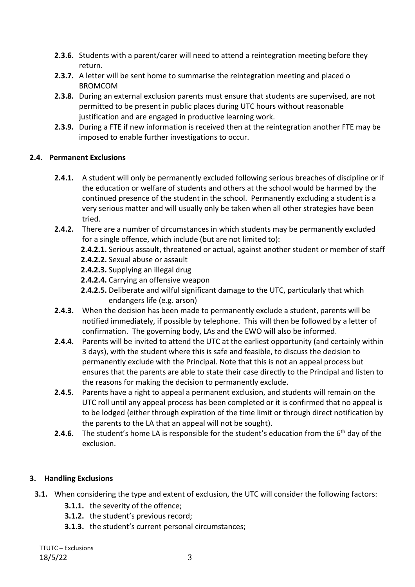- **2.3.6.** Students with a parent/carer will need to attend a reintegration meeting before they return.
- **2.3.7.** A letter will be sent home to summarise the reintegration meeting and placed o BROMCOM
- **2.3.8.** During an external exclusion parents must ensure that students are supervised, are not permitted to be present in public places during UTC hours without reasonable justification and are engaged in productive learning work.
- **2.3.9.** During a FTE if new information is received then at the reintegration another FTE may be imposed to enable further investigations to occur.

# **2.4. Permanent Exclusions**

- **2.4.1.** A student will only be permanently excluded following serious breaches of discipline or if the education or welfare of students and others at the school would be harmed by the continued presence of the student in the school. Permanently excluding a student is a very serious matter and will usually only be taken when all other strategies have been tried.
- **2.4.2.** There are a number of circumstances in which students may be permanently excluded for a single offence, which include (but are not limited to):

**2.4.2.1.** Serious assault, threatened or actual, against another student or member of staff

- **2.4.2.2.** Sexual abuse or assault
- **2.4.2.3.** Supplying an illegal drug
- **2.4.2.4.** Carrying an offensive weapon
- **2.4.2.5.** Deliberate and wilful significant damage to the UTC, particularly that which endangers life (e.g. arson)
- **2.4.3.** When the decision has been made to permanently exclude a student, parents will be notified immediately, if possible by telephone. This will then be followed by a letter of confirmation. The governing body, LAs and the EWO will also be informed.
- **2.4.4.** Parents will be invited to attend the UTC at the earliest opportunity (and certainly within 3 days), with the student where this is safe and feasible, to discuss the decision to permanently exclude with the Principal. Note that this is not an appeal process but ensures that the parents are able to state their case directly to the Principal and listen to the reasons for making the decision to permanently exclude.
- **2.4.5.** Parents have a right to appeal a permanent exclusion, and students will remain on the UTC roll until any appeal process has been completed or it is confirmed that no appeal is to be lodged (either through expiration of the time limit or through direct notification by the parents to the LA that an appeal will not be sought).
- **2.4.6.** The student's home LA is responsible for the student's education from the 6<sup>th</sup> day of the exclusion.

# **3. Handling Exclusions**

- **3.1.** When considering the type and extent of exclusion, the UTC will consider the following factors:
	- **3.1.1.** the severity of the offence;
	- **3.1.2.** the student's previous record;
	- **3.1.3.** the student's current personal circumstances;

TTUTC – Exclusions 18/5/22 3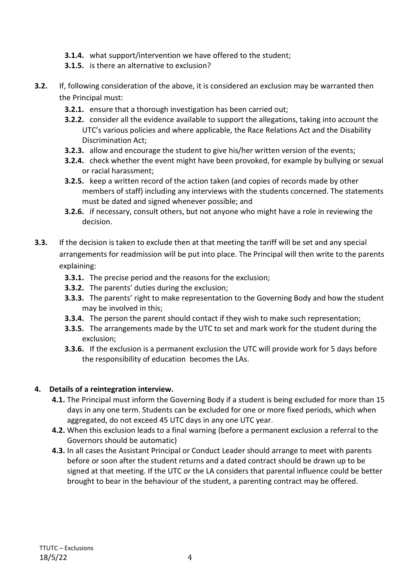- **3.1.4.** what support/intervention we have offered to the student;
- **3.1.5.** is there an alternative to exclusion?
- **3.2.** If, following consideration of the above, it is considered an exclusion may be warranted then the Principal must:
	- **3.2.1.** ensure that a thorough investigation has been carried out;
	- **3.2.2.** consider all the evidence available to support the allegations, taking into account the UTC's various policies and where applicable, the Race Relations Act and the Disability Discrimination Act;
	- **3.2.3.** allow and encourage the student to give his/her written version of the events;
	- **3.2.4.** check whether the event might have been provoked, for example by bullying or sexual or racial harassment;
	- **3.2.5.** keep a written record of the action taken (and copies of records made by other members of staff) including any interviews with the students concerned. The statements must be dated and signed whenever possible; and
	- **3.2.6.** if necessary, consult others, but not anyone who might have a role in reviewing the decision.
- **3.3.** If the decision is taken to exclude then at that meeting the tariff will be set and any special arrangements for readmission will be put into place. The Principal will then write to the parents explaining:
	- **3.3.1.** The precise period and the reasons for the exclusion;
	- **3.3.2.** The parents' duties during the exclusion;
	- **3.3.3.** The parents' right to make representation to the Governing Body and how the student may be involved in this;
	- **3.3.4.** The person the parent should contact if they wish to make such representation;
	- **3.3.5.** The arrangements made by the UTC to set and mark work for the student during the exclusion;
	- **3.3.6.** If the exclusion is a permanent exclusion the UTC will provide work for 5 days before the responsibility of education becomes the LAs.

#### **4. Details of a reintegration interview.**

- **4.1.** The Principal must inform the Governing Body if a student is being excluded for more than 15 days in any one term. Students can be excluded for one or more fixed periods, which when aggregated, do not exceed 45 UTC days in any one UTC year.
- **4.2.** When this exclusion leads to a final warning (before a permanent exclusion a referral to the Governors should be automatic)
- **4.3.** In all cases the Assistant Principal or Conduct Leader should arrange to meet with parents before or soon after the student returns and a dated contract should be drawn up to be signed at that meeting. If the UTC or the LA considers that parental influence could be better brought to bear in the behaviour of the student, a parenting contract may be offered.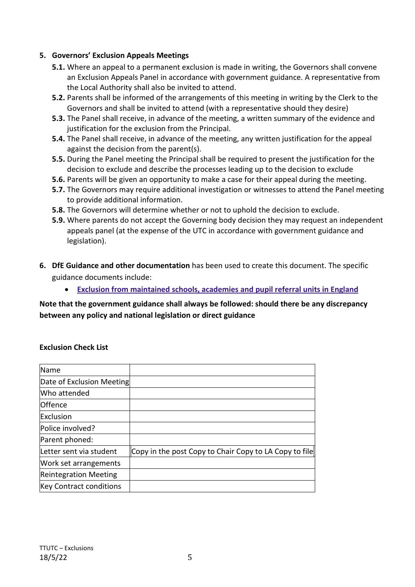#### **5. Governors' Exclusion Appeals Meetings**

- **5.1.** Where an appeal to a permanent exclusion is made in writing, the Governors shall convene an Exclusion Appeals Panel in accordance with government guidance. A representative from the Local Authority shall also be invited to attend.
- **5.2.** Parents shall be informed of the arrangements of this meeting in writing by the Clerk to the Governors and shall be invited to attend (with a representative should they desire)
- **5.3.** The Panel shall receive, in advance of the meeting, a written summary of the evidence and justification for the exclusion from the Principal.
- **5.4.** The Panel shall receive, in advance of the meeting, any written justification for the appeal against the decision from the parent(s).
- **5.5.** During the Panel meeting the Principal shall be required to present the justification for the decision to exclude and describe the processes leading up to the decision to exclude
- **5.6.** Parents will be given an opportunity to make a case for their appeal during the meeting.
- **5.7.** The Governors may require additional investigation or witnesses to attend the Panel meeting to provide additional information.
- **5.8.** The Governors will determine whether or not to uphold the decision to exclude.
- **5.9.** Where parents do not accept the Governing body decision they may request an independent appeals panel (at the expense of the UTC in accordance with government guidance and legislation).
- **6. DfE Guidance and other documentation** has been used to create this document. The specific guidance documents include:
	- **[Exclusion from maintained schools, academies and pupil referral units in England](https://www.gov.uk/government/uploads/system/uploads/attachment_data/file/269681/Exclusion_from_maintained_schools__academies_and_pupil_referral_units.pdf)**

# **Note that the government guidance shall always be followed: should there be any discrepancy between any policy and national legislation or direct guidance**

#### **Exclusion Check List**

| Name                           |                                                        |
|--------------------------------|--------------------------------------------------------|
| Date of Exclusion Meeting      |                                                        |
| Who attended                   |                                                        |
| Offence                        |                                                        |
| Exclusion                      |                                                        |
| Police involved?               |                                                        |
| Parent phoned:                 |                                                        |
| Letter sent via student        | Copy in the post Copy to Chair Copy to LA Copy to file |
| Work set arrangements          |                                                        |
| <b>Reintegration Meeting</b>   |                                                        |
| <b>Key Contract conditions</b> |                                                        |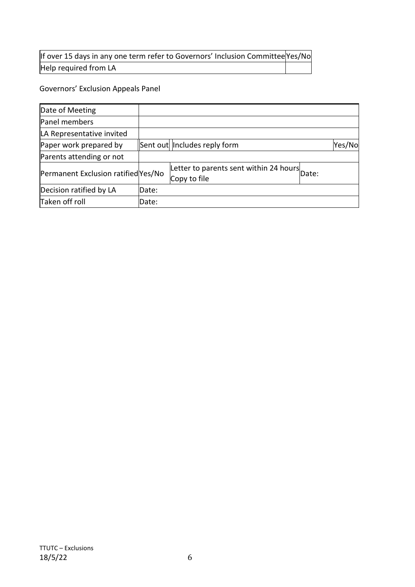# If over 15 days in any one term refer to Governors' Inclusion Committee Yes/No Help required from LA

# Governors' Exclusion Appeals Panel

| Date of Meeting                     |       |                                                              |        |
|-------------------------------------|-------|--------------------------------------------------------------|--------|
| Panel members                       |       |                                                              |        |
| LA Representative invited           |       |                                                              |        |
| Paper work prepared by              |       | Sent out   Includes reply form                               | Yes/No |
| Parents attending or not            |       |                                                              |        |
| Permanent Exclusion ratified Yes/No |       | Letter to parents sent within 24 hours Date:<br>Copy to file |        |
| Decision ratified by LA             | Date: |                                                              |        |
| Taken off roll                      | Date: |                                                              |        |